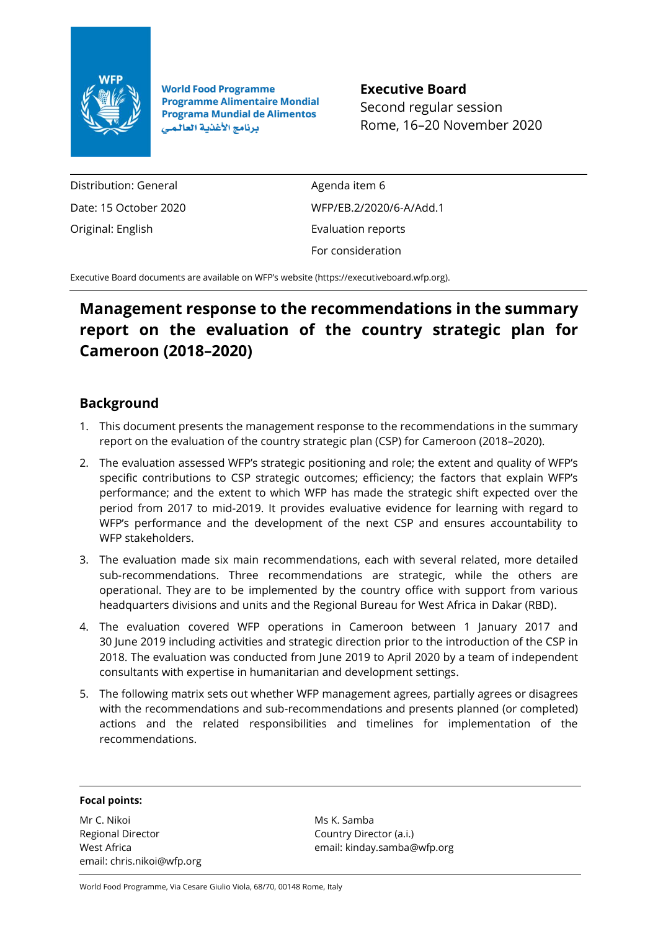

**World Food Programme Programme Alimentaire Mondial Programa Mundial de Alimentos** برنامج الأغذية العالمي

**Executive Board** Second regular session Rome, 16–20 November 2020

Distribution: General Date: 15 October 2020 Original: English

Agenda item 6 WFP/EB.2/2020/6-A/Add.1 Evaluation reports For consideration

Executive Board documents are available on WFP's website [\(https://executiveboard.wfp.org\)](https://executiveboard.wfp.org/).

## **Management response to the recommendations in the summary report on the evaluation of the country strategic plan for Cameroon (2018–2020)**

## **Background**

- 1. This document presents the management response to the recommendations in the summary report on the evaluation of the country strategic plan (CSP) for Cameroon (2018–2020).
- 2. The evaluation assessed WFP's strategic positioning and role; the extent and quality of WFP's specific contributions to CSP strategic outcomes; efficiency; the factors that explain WFP's performance; and the extent to which WFP has made the strategic shift expected over the period from 2017 to mid-2019. It provides evaluative evidence for learning with regard to WFP's performance and the development of the next CSP and ensures accountability to WFP stakeholders.
- 3. The evaluation made six main recommendations, each with several related, more detailed sub-recommendations. Three recommendations are strategic, while the others are operational. They are to be implemented by the country office with support from various headquarters divisions and units and the Regional Bureau for West Africa in Dakar (RBD).
- 4. The evaluation covered WFP operations in Cameroon between 1 January 2017 and 30 June 2019 including activities and strategic direction prior to the introduction of the CSP in 2018. The evaluation was conducted from June 2019 to April 2020 by a team of independent consultants with expertise in humanitarian and development settings.
- 5. The following matrix sets out whether WFP management agrees, partially agrees or disagrees with the recommendations and sub-recommendations and presents planned (or completed) actions and the related responsibilities and timelines for implementation of the recommendations.

## **Focal points:**

Mr C. Nikoi Regional Director West Africa email: chris.nikoi@wfp.org

Ms K. Samba Country Director (a.i.) email: kinday.samba@wfp.org

World Food Programme, Via Cesare Giulio Viola, 68/70, 00148 Rome, Italy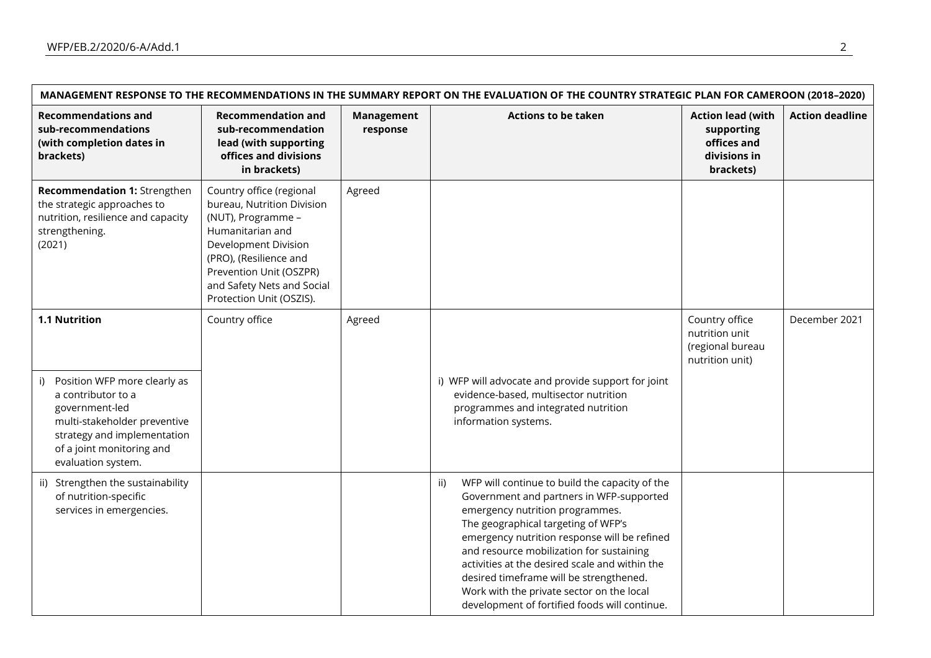| MANAGEMENT RESPONSE TO THE RECOMMENDATIONS IN THE SUMMARY REPORT ON THE EVALUATION OF THE COUNTRY STRATEGIC PLAN FOR CAMEROON (2018-2020)                                                                     |                                                                                                                                                                                                                                         |                               |                                                                                                                                                                                                                                                                                                                                                                                                                                                                    |                                                                                    |                        |  |  |
|---------------------------------------------------------------------------------------------------------------------------------------------------------------------------------------------------------------|-----------------------------------------------------------------------------------------------------------------------------------------------------------------------------------------------------------------------------------------|-------------------------------|--------------------------------------------------------------------------------------------------------------------------------------------------------------------------------------------------------------------------------------------------------------------------------------------------------------------------------------------------------------------------------------------------------------------------------------------------------------------|------------------------------------------------------------------------------------|------------------------|--|--|
| <b>Recommendations and</b><br>sub-recommendations<br>(with completion dates in<br>brackets)                                                                                                                   | <b>Recommendation and</b><br>sub-recommendation<br>lead (with supporting<br>offices and divisions<br>in brackets)                                                                                                                       | <b>Management</b><br>response | <b>Actions to be taken</b>                                                                                                                                                                                                                                                                                                                                                                                                                                         | <b>Action lead (with</b><br>supporting<br>offices and<br>divisions in<br>brackets) | <b>Action deadline</b> |  |  |
| Recommendation 1: Strengthen<br>the strategic approaches to<br>nutrition, resilience and capacity<br>strengthening.<br>(2021)                                                                                 | Country office (regional<br>bureau, Nutrition Division<br>(NUT), Programme -<br>Humanitarian and<br>Development Division<br>(PRO), (Resilience and<br>Prevention Unit (OSZPR)<br>and Safety Nets and Social<br>Protection Unit (OSZIS). | Agreed                        |                                                                                                                                                                                                                                                                                                                                                                                                                                                                    |                                                                                    |                        |  |  |
| 1.1 Nutrition<br>Position WFP more clearly as<br>i)<br>a contributor to a<br>government-led<br>multi-stakeholder preventive<br>strategy and implementation<br>of a joint monitoring and<br>evaluation system. | Country office                                                                                                                                                                                                                          | Agreed                        | i) WFP will advocate and provide support for joint<br>evidence-based, multisector nutrition<br>programmes and integrated nutrition<br>information systems.                                                                                                                                                                                                                                                                                                         | Country office<br>nutrition unit<br>(regional bureau<br>nutrition unit)            | December 2021          |  |  |
| ii) Strengthen the sustainability<br>of nutrition-specific<br>services in emergencies.                                                                                                                        |                                                                                                                                                                                                                                         |                               | WFP will continue to build the capacity of the<br>ii)<br>Government and partners in WFP-supported<br>emergency nutrition programmes.<br>The geographical targeting of WFP's<br>emergency nutrition response will be refined<br>and resource mobilization for sustaining<br>activities at the desired scale and within the<br>desired timeframe will be strengthened.<br>Work with the private sector on the local<br>development of fortified foods will continue. |                                                                                    |                        |  |  |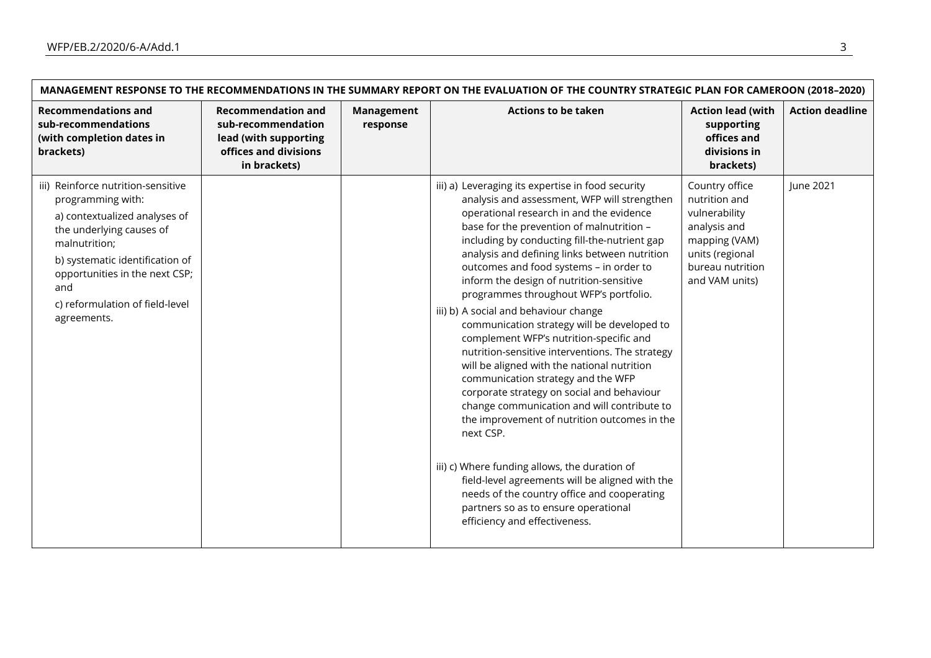$\mathsf{r}$ 

| MANAGEMENT RESPONSE TO THE RECOMMENDATIONS IN THE SUMMARY REPORT ON THE EVALUATION OF THE COUNTRY STRATEGIC PLAN FOR CAMEROON (2018-2020)                                                                                                                           |                                                                                                                   |                        |                                                                                                                                                                                                                                                                                                                                                                                                                                                                                                                                                                                                                                                                                                                                                                                                                                                                                                                                                                                                                                                                                                |                                                                                                                                            |                        |  |  |
|---------------------------------------------------------------------------------------------------------------------------------------------------------------------------------------------------------------------------------------------------------------------|-------------------------------------------------------------------------------------------------------------------|------------------------|------------------------------------------------------------------------------------------------------------------------------------------------------------------------------------------------------------------------------------------------------------------------------------------------------------------------------------------------------------------------------------------------------------------------------------------------------------------------------------------------------------------------------------------------------------------------------------------------------------------------------------------------------------------------------------------------------------------------------------------------------------------------------------------------------------------------------------------------------------------------------------------------------------------------------------------------------------------------------------------------------------------------------------------------------------------------------------------------|--------------------------------------------------------------------------------------------------------------------------------------------|------------------------|--|--|
| <b>Recommendations and</b><br>sub-recommendations<br>(with completion dates in<br>brackets)                                                                                                                                                                         | <b>Recommendation and</b><br>sub-recommendation<br>lead (with supporting<br>offices and divisions<br>in brackets) | Management<br>response | <b>Actions to be taken</b>                                                                                                                                                                                                                                                                                                                                                                                                                                                                                                                                                                                                                                                                                                                                                                                                                                                                                                                                                                                                                                                                     | <b>Action lead (with</b><br>supporting<br>offices and<br>divisions in<br>brackets)                                                         | <b>Action deadline</b> |  |  |
| iii) Reinforce nutrition-sensitive<br>programming with:<br>a) contextualized analyses of<br>the underlying causes of<br>malnutrition;<br>b) systematic identification of<br>opportunities in the next CSP;<br>and<br>c) reformulation of field-level<br>agreements. |                                                                                                                   |                        | iii) a) Leveraging its expertise in food security<br>analysis and assessment, WFP will strengthen<br>operational research in and the evidence<br>base for the prevention of malnutrition -<br>including by conducting fill-the-nutrient gap<br>analysis and defining links between nutrition<br>outcomes and food systems - in order to<br>inform the design of nutrition-sensitive<br>programmes throughout WFP's portfolio.<br>iii) b) A social and behaviour change<br>communication strategy will be developed to<br>complement WFP's nutrition-specific and<br>nutrition-sensitive interventions. The strategy<br>will be aligned with the national nutrition<br>communication strategy and the WFP<br>corporate strategy on social and behaviour<br>change communication and will contribute to<br>the improvement of nutrition outcomes in the<br>next CSP.<br>iii) c) Where funding allows, the duration of<br>field-level agreements will be aligned with the<br>needs of the country office and cooperating<br>partners so as to ensure operational<br>efficiency and effectiveness. | Country office<br>nutrition and<br>vulnerability<br>analysis and<br>mapping (VAM)<br>units (regional<br>bureau nutrition<br>and VAM units) | June 2021              |  |  |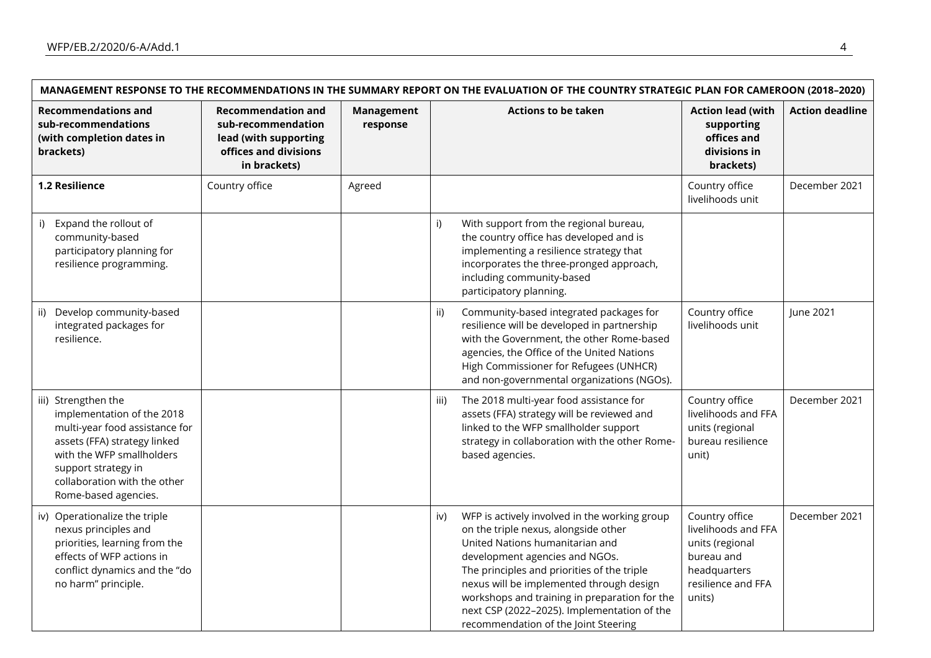| MANAGEMENT RESPONSE TO THE RECOMMENDATIONS IN THE SUMMARY REPORT ON THE EVALUATION OF THE COUNTRY STRATEGIC PLAN FOR CAMEROON (2018-2020)                                                                                       |                                                                                                                   |                               |                                                                                                                                                                                                                                                                                                                                                                                                      |                                                                                                                        |                        |  |  |
|---------------------------------------------------------------------------------------------------------------------------------------------------------------------------------------------------------------------------------|-------------------------------------------------------------------------------------------------------------------|-------------------------------|------------------------------------------------------------------------------------------------------------------------------------------------------------------------------------------------------------------------------------------------------------------------------------------------------------------------------------------------------------------------------------------------------|------------------------------------------------------------------------------------------------------------------------|------------------------|--|--|
| <b>Recommendations and</b><br>sub-recommendations<br>(with completion dates in<br>brackets)                                                                                                                                     | <b>Recommendation and</b><br>sub-recommendation<br>lead (with supporting<br>offices and divisions<br>in brackets) | <b>Management</b><br>response | <b>Actions to be taken</b>                                                                                                                                                                                                                                                                                                                                                                           | <b>Action lead (with</b><br>supporting<br>offices and<br>divisions in<br>brackets)                                     | <b>Action deadline</b> |  |  |
| 1.2 Resilience                                                                                                                                                                                                                  | Country office                                                                                                    | Agreed                        |                                                                                                                                                                                                                                                                                                                                                                                                      | Country office<br>livelihoods unit                                                                                     | December 2021          |  |  |
| Expand the rollout of<br>i)<br>community-based<br>participatory planning for<br>resilience programming.                                                                                                                         |                                                                                                                   |                               | With support from the regional bureau,<br>i)<br>the country office has developed and is<br>implementing a resilience strategy that<br>incorporates the three-pronged approach,<br>including community-based<br>participatory planning.                                                                                                                                                               |                                                                                                                        |                        |  |  |
| ii) Develop community-based<br>integrated packages for<br>resilience.                                                                                                                                                           |                                                                                                                   |                               | Community-based integrated packages for<br>ii)<br>resilience will be developed in partnership<br>with the Government, the other Rome-based<br>agencies, the Office of the United Nations<br>High Commissioner for Refugees (UNHCR)<br>and non-governmental organizations (NGOs).                                                                                                                     | Country office<br>livelihoods unit                                                                                     | June 2021              |  |  |
| iii) Strengthen the<br>implementation of the 2018<br>multi-year food assistance for<br>assets (FFA) strategy linked<br>with the WFP smallholders<br>support strategy in<br>collaboration with the other<br>Rome-based agencies. |                                                                                                                   |                               | The 2018 multi-year food assistance for<br>iii)<br>assets (FFA) strategy will be reviewed and<br>linked to the WFP smallholder support<br>strategy in collaboration with the other Rome-<br>based agencies.                                                                                                                                                                                          | Country office<br>livelihoods and FFA<br>units (regional<br>bureau resilience<br>unit)                                 | December 2021          |  |  |
| iv) Operationalize the triple<br>nexus principles and<br>priorities, learning from the<br>effects of WFP actions in<br>conflict dynamics and the "do<br>no harm" principle.                                                     |                                                                                                                   |                               | WFP is actively involved in the working group<br>iv)<br>on the triple nexus, alongside other<br>United Nations humanitarian and<br>development agencies and NGOs.<br>The principles and priorities of the triple<br>nexus will be implemented through design<br>workshops and training in preparation for the<br>next CSP (2022-2025). Implementation of the<br>recommendation of the Joint Steering | Country office<br>livelihoods and FFA<br>units (regional<br>bureau and<br>headquarters<br>resilience and FFA<br>units) | December 2021          |  |  |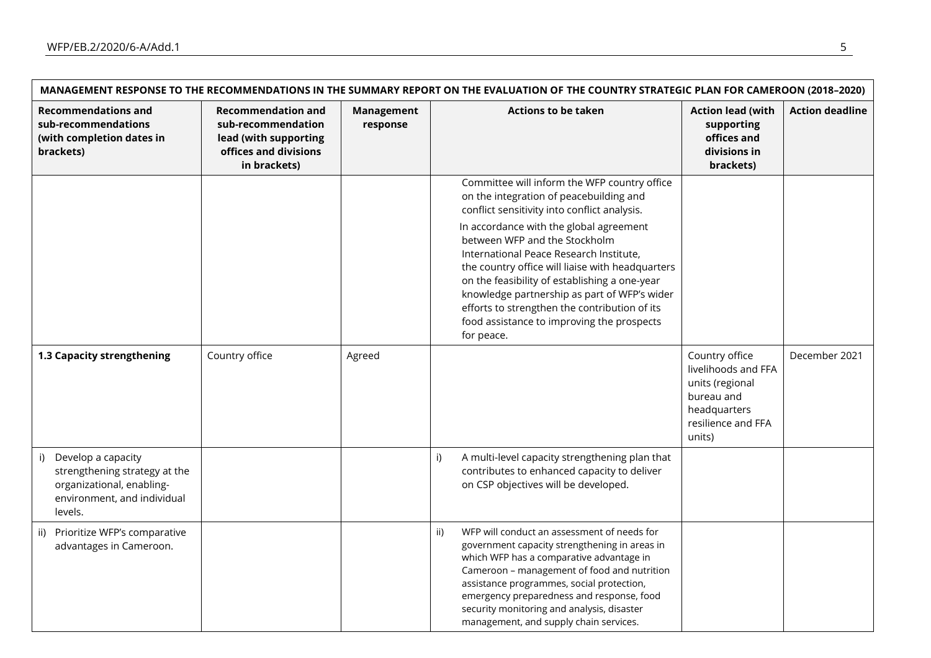| MANAGEMENT RESPONSE TO THE RECOMMENDATIONS IN THE SUMMARY REPORT ON THE EVALUATION OF THE COUNTRY STRATEGIC PLAN FOR CAMEROON (2018-2020) |                                                                                                                   |                               |                                                                                                                                                                                                                                                                                                                                                                                                                                                                                                                                  |                                                                                                                        |                        |  |  |
|-------------------------------------------------------------------------------------------------------------------------------------------|-------------------------------------------------------------------------------------------------------------------|-------------------------------|----------------------------------------------------------------------------------------------------------------------------------------------------------------------------------------------------------------------------------------------------------------------------------------------------------------------------------------------------------------------------------------------------------------------------------------------------------------------------------------------------------------------------------|------------------------------------------------------------------------------------------------------------------------|------------------------|--|--|
| <b>Recommendations and</b><br>sub-recommendations<br>(with completion dates in<br>brackets)                                               | <b>Recommendation and</b><br>sub-recommendation<br>lead (with supporting<br>offices and divisions<br>in brackets) | <b>Management</b><br>response | <b>Actions to be taken</b>                                                                                                                                                                                                                                                                                                                                                                                                                                                                                                       | <b>Action lead (with</b><br>supporting<br>offices and<br>divisions in<br>brackets)                                     | <b>Action deadline</b> |  |  |
|                                                                                                                                           |                                                                                                                   |                               | Committee will inform the WFP country office<br>on the integration of peacebuilding and<br>conflict sensitivity into conflict analysis.<br>In accordance with the global agreement<br>between WFP and the Stockholm<br>International Peace Research Institute,<br>the country office will liaise with headquarters<br>on the feasibility of establishing a one-year<br>knowledge partnership as part of WFP's wider<br>efforts to strengthen the contribution of its<br>food assistance to improving the prospects<br>for peace. |                                                                                                                        |                        |  |  |
| 1.3 Capacity strengthening                                                                                                                | Country office                                                                                                    | Agreed                        |                                                                                                                                                                                                                                                                                                                                                                                                                                                                                                                                  | Country office<br>livelihoods and FFA<br>units (regional<br>bureau and<br>headquarters<br>resilience and FFA<br>units) | December 2021          |  |  |
| i) Develop a capacity<br>strengthening strategy at the<br>organizational, enabling-<br>environment, and individual<br>levels.             |                                                                                                                   |                               | i)<br>A multi-level capacity strengthening plan that<br>contributes to enhanced capacity to deliver<br>on CSP objectives will be developed.                                                                                                                                                                                                                                                                                                                                                                                      |                                                                                                                        |                        |  |  |
| ii) Prioritize WFP's comparative<br>advantages in Cameroon.                                                                               |                                                                                                                   |                               | ii)<br>WFP will conduct an assessment of needs for<br>government capacity strengthening in areas in<br>which WFP has a comparative advantage in<br>Cameroon - management of food and nutrition<br>assistance programmes, social protection,<br>emergency preparedness and response, food<br>security monitoring and analysis, disaster<br>management, and supply chain services.                                                                                                                                                 |                                                                                                                        |                        |  |  |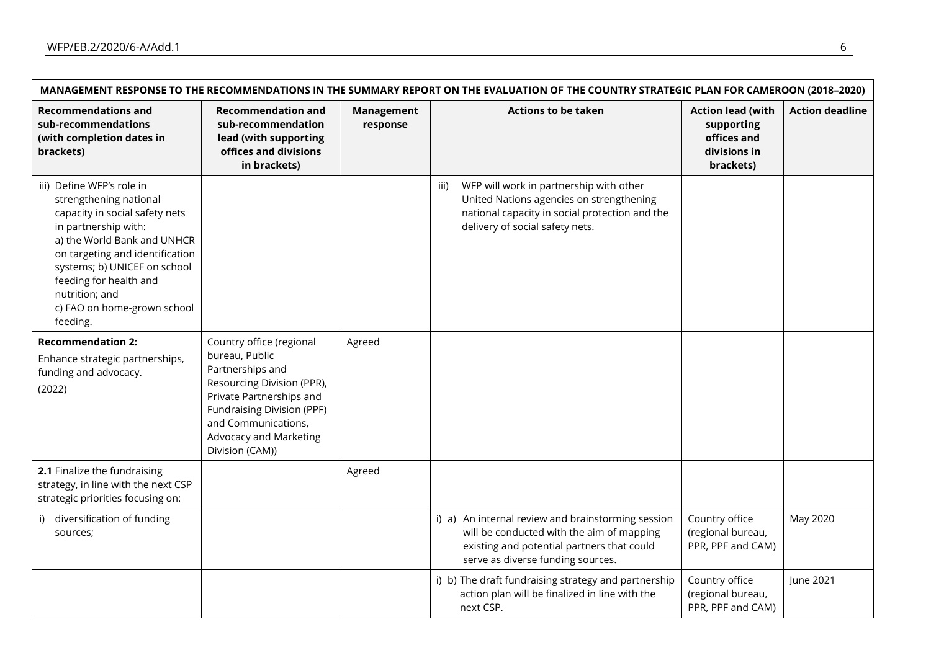|                                                                                                                                                                                                                                                                                                        | MANAGEMENT RESPONSE TO THE RECOMMENDATIONS IN THE SUMMARY REPORT ON THE EVALUATION OF THE COUNTRY STRATEGIC PLAN FOR CAMEROON (2018-2020)                                                                                         |                        |                                                                                                                                                                                    |                                                                                    |                        |  |  |
|--------------------------------------------------------------------------------------------------------------------------------------------------------------------------------------------------------------------------------------------------------------------------------------------------------|-----------------------------------------------------------------------------------------------------------------------------------------------------------------------------------------------------------------------------------|------------------------|------------------------------------------------------------------------------------------------------------------------------------------------------------------------------------|------------------------------------------------------------------------------------|------------------------|--|--|
| <b>Recommendations and</b><br>sub-recommendations<br>(with completion dates in<br>brackets)                                                                                                                                                                                                            | <b>Recommendation and</b><br>sub-recommendation<br>lead (with supporting<br>offices and divisions<br>in brackets)                                                                                                                 | Management<br>response | <b>Actions to be taken</b>                                                                                                                                                         | <b>Action lead (with</b><br>supporting<br>offices and<br>divisions in<br>brackets) | <b>Action deadline</b> |  |  |
| iii) Define WFP's role in<br>strengthening national<br>capacity in social safety nets<br>in partnership with:<br>a) the World Bank and UNHCR<br>on targeting and identification<br>systems; b) UNICEF on school<br>feeding for health and<br>nutrition; and<br>c) FAO on home-grown school<br>feeding. |                                                                                                                                                                                                                                   |                        | WFP will work in partnership with other<br>iii)<br>United Nations agencies on strengthening<br>national capacity in social protection and the<br>delivery of social safety nets.   |                                                                                    |                        |  |  |
| <b>Recommendation 2:</b><br>Enhance strategic partnerships,<br>funding and advocacy.<br>(2022)                                                                                                                                                                                                         | Country office (regional<br>bureau, Public<br>Partnerships and<br>Resourcing Division (PPR),<br>Private Partnerships and<br>Fundraising Division (PPF)<br>and Communications,<br><b>Advocacy and Marketing</b><br>Division (CAM)) | Agreed                 |                                                                                                                                                                                    |                                                                                    |                        |  |  |
| 2.1 Finalize the fundraising<br>strategy, in line with the next CSP<br>strategic priorities focusing on:                                                                                                                                                                                               |                                                                                                                                                                                                                                   | Agreed                 |                                                                                                                                                                                    |                                                                                    |                        |  |  |
| i) diversification of funding<br>sources;                                                                                                                                                                                                                                                              |                                                                                                                                                                                                                                   |                        | i) a) An internal review and brainstorming session<br>will be conducted with the aim of mapping<br>existing and potential partners that could<br>serve as diverse funding sources. | Country office<br>(regional bureau,<br>PPR, PPF and CAM)                           | May 2020               |  |  |
|                                                                                                                                                                                                                                                                                                        |                                                                                                                                                                                                                                   |                        | i) b) The draft fundraising strategy and partnership<br>action plan will be finalized in line with the<br>next CSP.                                                                | Country office<br>(regional bureau,<br>PPR, PPF and CAM)                           | June 2021              |  |  |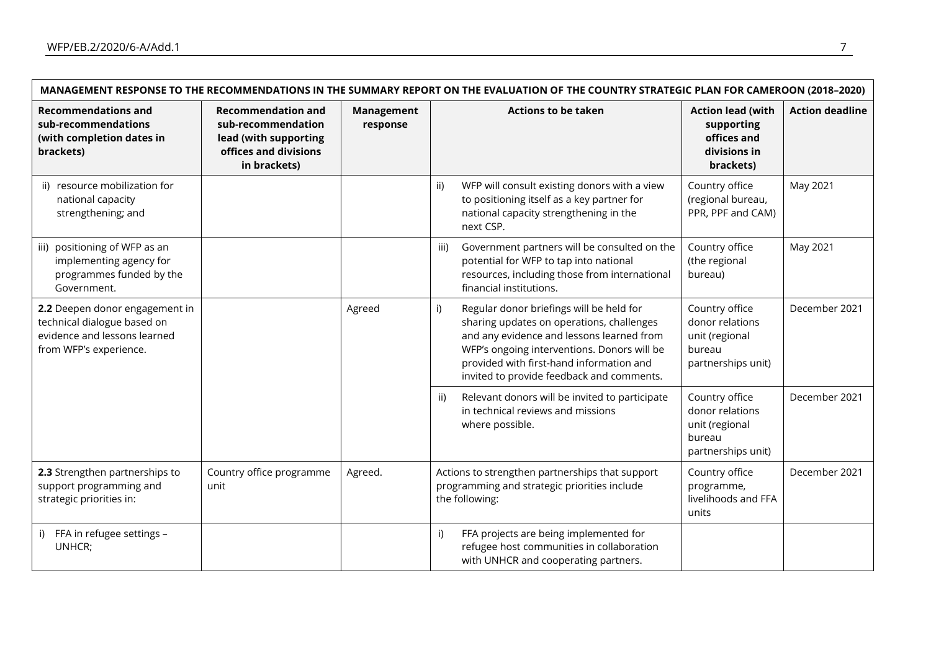| MANAGEMENT RESPONSE TO THE RECOMMENDATIONS IN THE SUMMARY REPORT ON THE EVALUATION OF THE COUNTRY STRATEGIC PLAN FOR CAMEROON (2018-2020) |                                                                                                                   |                        |                                                                                                                                                                                                                                                                                  |                                                                                     |                        |  |  |
|-------------------------------------------------------------------------------------------------------------------------------------------|-------------------------------------------------------------------------------------------------------------------|------------------------|----------------------------------------------------------------------------------------------------------------------------------------------------------------------------------------------------------------------------------------------------------------------------------|-------------------------------------------------------------------------------------|------------------------|--|--|
| <b>Recommendations and</b><br>sub-recommendations<br>(with completion dates in<br>brackets)                                               | <b>Recommendation and</b><br>sub-recommendation<br>lead (with supporting<br>offices and divisions<br>in brackets) | Management<br>response | <b>Actions to be taken</b>                                                                                                                                                                                                                                                       | <b>Action lead (with</b><br>supporting<br>offices and<br>divisions in<br>brackets)  | <b>Action deadline</b> |  |  |
| ii) resource mobilization for<br>national capacity<br>strengthening; and                                                                  |                                                                                                                   |                        | WFP will consult existing donors with a view<br>ii)<br>to positioning itself as a key partner for<br>national capacity strengthening in the<br>next CSP.                                                                                                                         | Country office<br>(regional bureau,<br>PPR, PPF and CAM)                            | May 2021               |  |  |
| iii) positioning of WFP as an<br>implementing agency for<br>programmes funded by the<br>Government.                                       |                                                                                                                   |                        | Government partners will be consulted on the<br>iii)<br>potential for WFP to tap into national<br>resources, including those from international<br>financial institutions.                                                                                                       | Country office<br>(the regional<br>bureau)                                          | May 2021               |  |  |
| 2.2 Deepen donor engagement in<br>technical dialogue based on<br>evidence and lessons learned<br>from WFP's experience.                   |                                                                                                                   | Agreed                 | Regular donor briefings will be held for<br>i)<br>sharing updates on operations, challenges<br>and any evidence and lessons learned from<br>WFP's ongoing interventions. Donors will be<br>provided with first-hand information and<br>invited to provide feedback and comments. | Country office<br>donor relations<br>unit (regional<br>bureau<br>partnerships unit) | December 2021          |  |  |
|                                                                                                                                           |                                                                                                                   |                        | Relevant donors will be invited to participate<br>ii)<br>in technical reviews and missions<br>where possible.                                                                                                                                                                    | Country office<br>donor relations<br>unit (regional<br>bureau<br>partnerships unit) | December 2021          |  |  |
| 2.3 Strengthen partnerships to<br>support programming and<br>strategic priorities in:                                                     | Country office programme<br>unit                                                                                  | Agreed.                | Actions to strengthen partnerships that support<br>programming and strategic priorities include<br>the following:                                                                                                                                                                | Country office<br>programme,<br>livelihoods and FFA<br>units                        | December 2021          |  |  |
| i) FFA in refugee settings -<br>UNHCR;                                                                                                    |                                                                                                                   |                        | FFA projects are being implemented for<br>i)<br>refugee host communities in collaboration<br>with UNHCR and cooperating partners.                                                                                                                                                |                                                                                     |                        |  |  |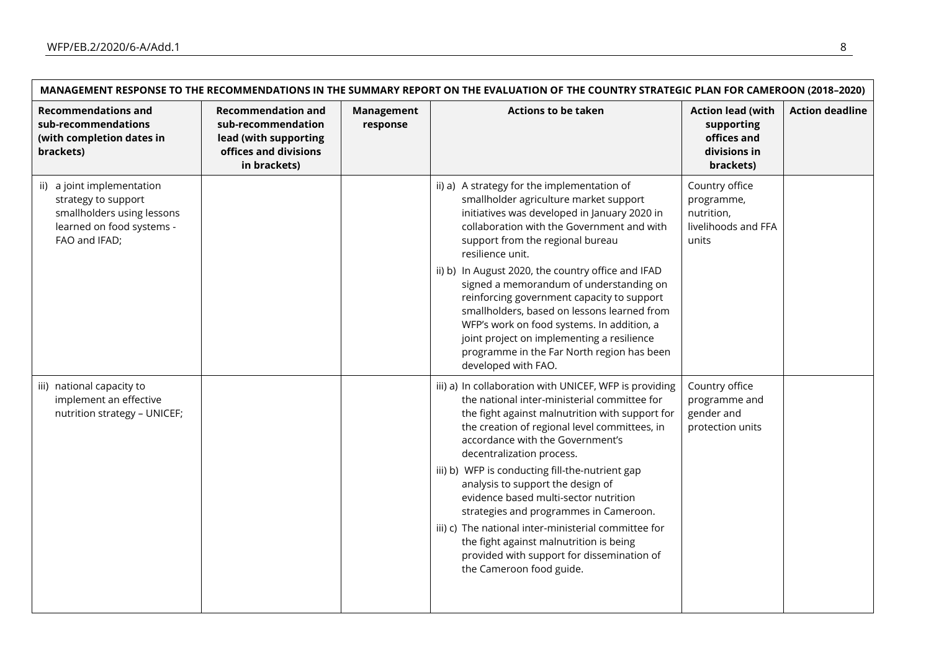F

| MANAGEMENT RESPONSE TO THE RECOMMENDATIONS IN THE SUMMARY REPORT ON THE EVALUATION OF THE COUNTRY STRATEGIC PLAN FOR CAMEROON (2018-2020) |                                                                                                                   |                               |                                                                                                                                                                                                                                                                                                                                                                                                                                                                                                                                                                                                                                     |                                                                                    |                        |  |
|-------------------------------------------------------------------------------------------------------------------------------------------|-------------------------------------------------------------------------------------------------------------------|-------------------------------|-------------------------------------------------------------------------------------------------------------------------------------------------------------------------------------------------------------------------------------------------------------------------------------------------------------------------------------------------------------------------------------------------------------------------------------------------------------------------------------------------------------------------------------------------------------------------------------------------------------------------------------|------------------------------------------------------------------------------------|------------------------|--|
| <b>Recommendations and</b><br>sub-recommendations<br>(with completion dates in<br>brackets)                                               | <b>Recommendation and</b><br>sub-recommendation<br>lead (with supporting<br>offices and divisions<br>in brackets) | <b>Management</b><br>response | <b>Actions to be taken</b>                                                                                                                                                                                                                                                                                                                                                                                                                                                                                                                                                                                                          | <b>Action lead (with</b><br>supporting<br>offices and<br>divisions in<br>brackets) | <b>Action deadline</b> |  |
| ii) a joint implementation<br>strategy to support<br>smallholders using lessons<br>learned on food systems -<br>FAO and IFAD;             |                                                                                                                   |                               | ii) a) A strategy for the implementation of<br>smallholder agriculture market support<br>initiatives was developed in January 2020 in<br>collaboration with the Government and with<br>support from the regional bureau<br>resilience unit.<br>ii) b) In August 2020, the country office and IFAD<br>signed a memorandum of understanding on<br>reinforcing government capacity to support<br>smallholders, based on lessons learned from<br>WFP's work on food systems. In addition, a<br>joint project on implementing a resilience<br>programme in the Far North region has been<br>developed with FAO.                          | Country office<br>programme,<br>nutrition,<br>livelihoods and FFA<br>units         |                        |  |
| iii) national capacity to<br>implement an effective<br>nutrition strategy - UNICEF;                                                       |                                                                                                                   |                               | iii) a) In collaboration with UNICEF, WFP is providing<br>the national inter-ministerial committee for<br>the fight against malnutrition with support for<br>the creation of regional level committees, in<br>accordance with the Government's<br>decentralization process.<br>iii) b) WFP is conducting fill-the-nutrient gap<br>analysis to support the design of<br>evidence based multi-sector nutrition<br>strategies and programmes in Cameroon.<br>iii) c) The national inter-ministerial committee for<br>the fight against malnutrition is being<br>provided with support for dissemination of<br>the Cameroon food guide. | Country office<br>programme and<br>gender and<br>protection units                  |                        |  |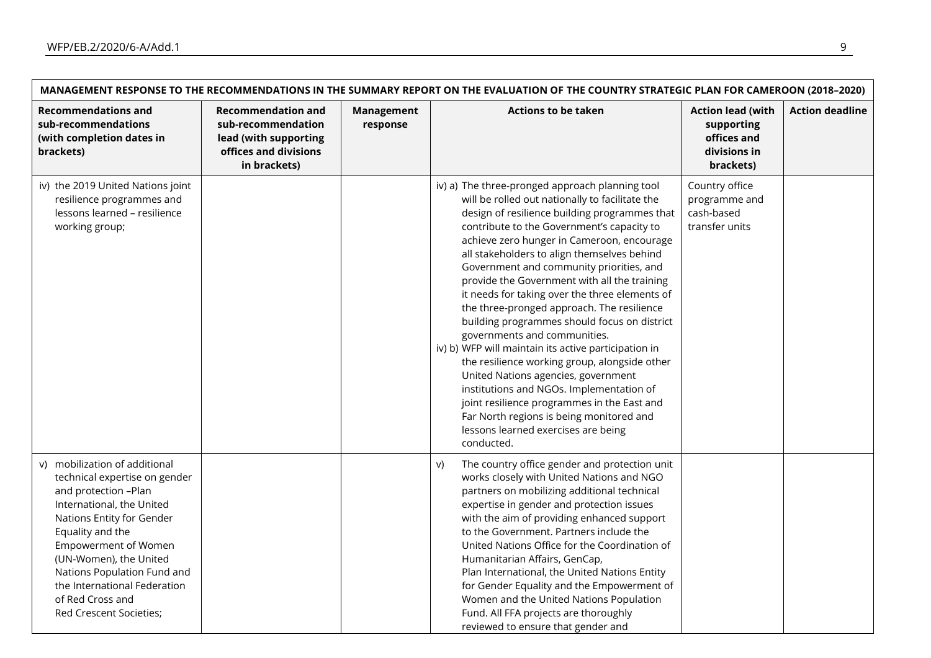$\mathsf{r}$ 

| MANAGEMENT RESPONSE TO THE RECOMMENDATIONS IN THE SUMMARY REPORT ON THE EVALUATION OF THE COUNTRY STRATEGIC PLAN FOR CAMEROON (2018-2020)                                                                                                                                                                                                   |                                                                                                                   |                               |                                                                                                                                                                                                                                                                                                                                                                                                                                                                                                                                                                                                                                                                                                                                                                                                                                                                                                                        |                                                                                    |                        |  |
|---------------------------------------------------------------------------------------------------------------------------------------------------------------------------------------------------------------------------------------------------------------------------------------------------------------------------------------------|-------------------------------------------------------------------------------------------------------------------|-------------------------------|------------------------------------------------------------------------------------------------------------------------------------------------------------------------------------------------------------------------------------------------------------------------------------------------------------------------------------------------------------------------------------------------------------------------------------------------------------------------------------------------------------------------------------------------------------------------------------------------------------------------------------------------------------------------------------------------------------------------------------------------------------------------------------------------------------------------------------------------------------------------------------------------------------------------|------------------------------------------------------------------------------------|------------------------|--|
| <b>Recommendations and</b><br>sub-recommendations<br>(with completion dates in<br>brackets)                                                                                                                                                                                                                                                 | <b>Recommendation and</b><br>sub-recommendation<br>lead (with supporting<br>offices and divisions<br>in brackets) | <b>Management</b><br>response | <b>Actions to be taken</b>                                                                                                                                                                                                                                                                                                                                                                                                                                                                                                                                                                                                                                                                                                                                                                                                                                                                                             | <b>Action lead (with</b><br>supporting<br>offices and<br>divisions in<br>brackets) | <b>Action deadline</b> |  |
| iv) the 2019 United Nations joint<br>resilience programmes and<br>lessons learned - resilience<br>working group;                                                                                                                                                                                                                            |                                                                                                                   |                               | iv) a) The three-pronged approach planning tool<br>will be rolled out nationally to facilitate the<br>design of resilience building programmes that<br>contribute to the Government's capacity to<br>achieve zero hunger in Cameroon, encourage<br>all stakeholders to align themselves behind<br>Government and community priorities, and<br>provide the Government with all the training<br>it needs for taking over the three elements of<br>the three-pronged approach. The resilience<br>building programmes should focus on district<br>governments and communities.<br>iv) b) WFP will maintain its active participation in<br>the resilience working group, alongside other<br>United Nations agencies, government<br>institutions and NGOs. Implementation of<br>joint resilience programmes in the East and<br>Far North regions is being monitored and<br>lessons learned exercises are being<br>conducted. | Country office<br>programme and<br>cash-based<br>transfer units                    |                        |  |
| v) mobilization of additional<br>technical expertise on gender<br>and protection -Plan<br>International, the United<br>Nations Entity for Gender<br>Equality and the<br><b>Empowerment of Women</b><br>(UN-Women), the United<br>Nations Population Fund and<br>the International Federation<br>of Red Cross and<br>Red Crescent Societies; |                                                                                                                   |                               | The country office gender and protection unit<br>V)<br>works closely with United Nations and NGO<br>partners on mobilizing additional technical<br>expertise in gender and protection issues<br>with the aim of providing enhanced support<br>to the Government. Partners include the<br>United Nations Office for the Coordination of<br>Humanitarian Affairs, GenCap,<br>Plan International, the United Nations Entity<br>for Gender Equality and the Empowerment of<br>Women and the United Nations Population<br>Fund. All FFA projects are thoroughly<br>reviewed to ensure that gender and                                                                                                                                                                                                                                                                                                                       |                                                                                    |                        |  |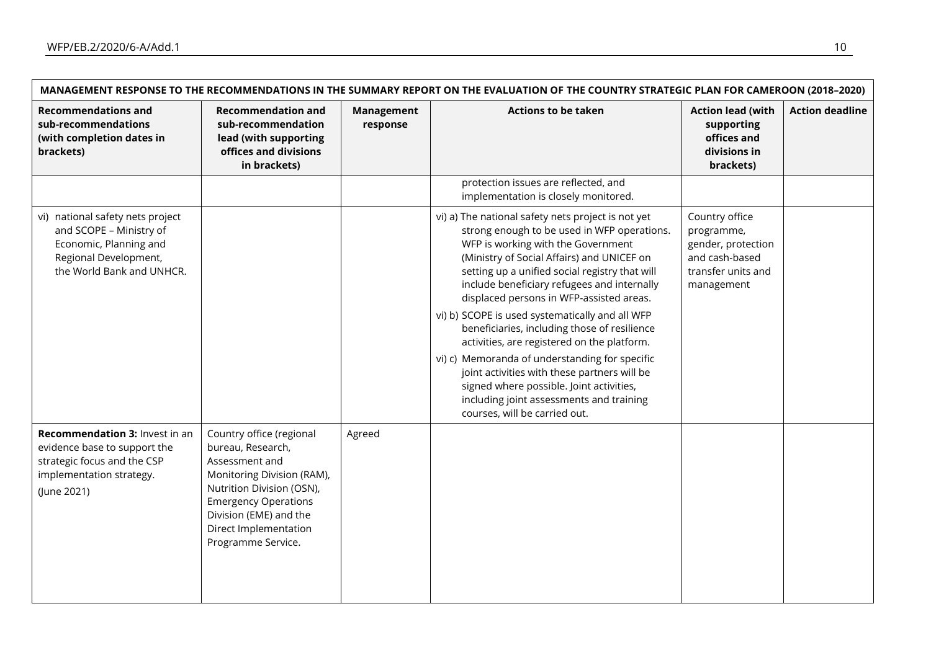$\mathsf{r}$ 

| <b>Recommendations and</b><br>sub-recommendations<br>(with completion dates in<br>brackets)                                                 | <b>Recommendation and</b><br>sub-recommendation<br>lead (with supporting<br>offices and divisions<br>in brackets)                                                                                                                  | <b>Management</b><br>response | <b>Actions to be taken</b>                                                                                                                                                                                                                                                                                                                                                                                                                                                                                                                                                                                                                                                                                      | <b>Action lead (with</b><br>supporting<br>offices and<br>divisions in<br>brackets)                       | <b>Action deadline</b> |
|---------------------------------------------------------------------------------------------------------------------------------------------|------------------------------------------------------------------------------------------------------------------------------------------------------------------------------------------------------------------------------------|-------------------------------|-----------------------------------------------------------------------------------------------------------------------------------------------------------------------------------------------------------------------------------------------------------------------------------------------------------------------------------------------------------------------------------------------------------------------------------------------------------------------------------------------------------------------------------------------------------------------------------------------------------------------------------------------------------------------------------------------------------------|----------------------------------------------------------------------------------------------------------|------------------------|
|                                                                                                                                             |                                                                                                                                                                                                                                    |                               | protection issues are reflected, and<br>implementation is closely monitored.                                                                                                                                                                                                                                                                                                                                                                                                                                                                                                                                                                                                                                    |                                                                                                          |                        |
| vi) national safety nets project<br>and SCOPE - Ministry of<br>Economic, Planning and<br>Regional Development,<br>the World Bank and UNHCR. |                                                                                                                                                                                                                                    |                               | vi) a) The national safety nets project is not yet<br>strong enough to be used in WFP operations.<br>WFP is working with the Government<br>(Ministry of Social Affairs) and UNICEF on<br>setting up a unified social registry that will<br>include beneficiary refugees and internally<br>displaced persons in WFP-assisted areas.<br>vi) b) SCOPE is used systematically and all WFP<br>beneficiaries, including those of resilience<br>activities, are registered on the platform.<br>vi) c) Memoranda of understanding for specific<br>joint activities with these partners will be<br>signed where possible. Joint activities,<br>including joint assessments and training<br>courses, will be carried out. | Country office<br>programme,<br>gender, protection<br>and cash-based<br>transfer units and<br>management |                        |
| Recommendation 3: Invest in an<br>evidence base to support the<br>strategic focus and the CSP<br>implementation strategy.<br>(June 2021)    | Country office (regional<br>bureau, Research,<br>Assessment and<br>Monitoring Division (RAM),<br>Nutrition Division (OSN),<br><b>Emergency Operations</b><br>Division (EME) and the<br>Direct Implementation<br>Programme Service. | Agreed                        |                                                                                                                                                                                                                                                                                                                                                                                                                                                                                                                                                                                                                                                                                                                 |                                                                                                          |                        |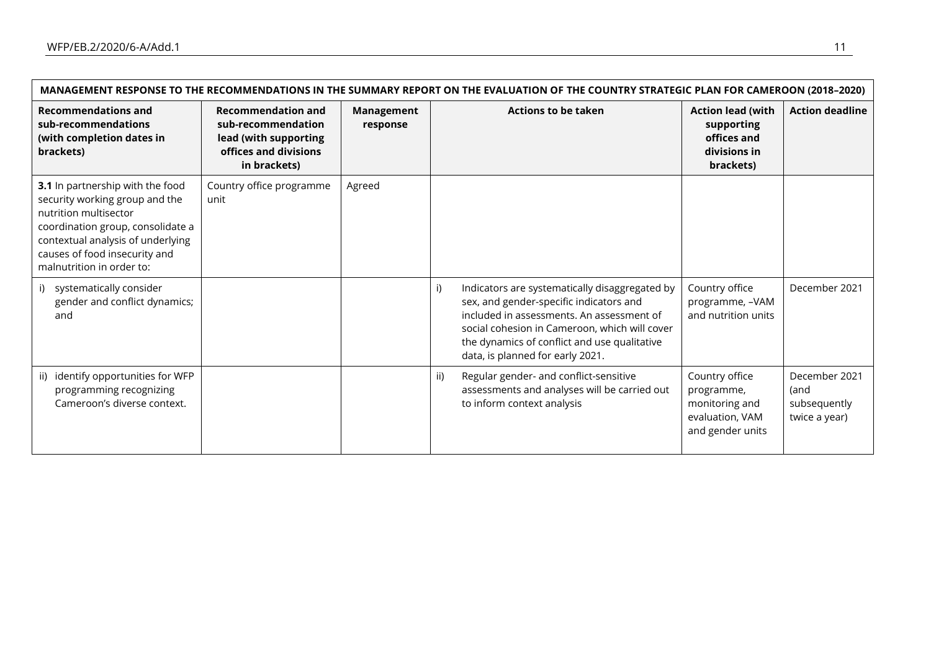$\blacksquare$ 

| MANAGEMENT RESPONSE TO THE RECOMMENDATIONS IN THE SUMMARY REPORT ON THE EVALUATION OF THE COUNTRY STRATEGIC PLAN FOR CAMEROON (2018-2020)                                                                                           |                                                                                                                   |                        |                                                                                                                                                                                                                                                                                   |                                                                                       |                                                        |  |  |  |
|-------------------------------------------------------------------------------------------------------------------------------------------------------------------------------------------------------------------------------------|-------------------------------------------------------------------------------------------------------------------|------------------------|-----------------------------------------------------------------------------------------------------------------------------------------------------------------------------------------------------------------------------------------------------------------------------------|---------------------------------------------------------------------------------------|--------------------------------------------------------|--|--|--|
| <b>Recommendations and</b><br>sub-recommendations<br>(with completion dates in<br>brackets)                                                                                                                                         | <b>Recommendation and</b><br>sub-recommendation<br>lead (with supporting<br>offices and divisions<br>in brackets) | Management<br>response | <b>Actions to be taken</b>                                                                                                                                                                                                                                                        | <b>Action lead (with</b><br>supporting<br>offices and<br>divisions in<br>brackets)    | <b>Action deadline</b>                                 |  |  |  |
| 3.1 In partnership with the food<br>security working group and the<br>nutrition multisector<br>coordination group, consolidate a<br>contextual analysis of underlying<br>causes of food insecurity and<br>malnutrition in order to: | Country office programme<br>unit                                                                                  | Agreed                 |                                                                                                                                                                                                                                                                                   |                                                                                       |                                                        |  |  |  |
| i) systematically consider<br>gender and conflict dynamics;<br>and                                                                                                                                                                  |                                                                                                                   |                        | i)<br>Indicators are systematically disaggregated by<br>sex, and gender-specific indicators and<br>included in assessments. An assessment of<br>social cohesion in Cameroon, which will cover<br>the dynamics of conflict and use qualitative<br>data, is planned for early 2021. | Country office<br>programme, -VAM<br>and nutrition units                              | December 2021                                          |  |  |  |
| identify opportunities for WFP<br>ii)<br>programming recognizing<br>Cameroon's diverse context.                                                                                                                                     |                                                                                                                   |                        | Regular gender- and conflict-sensitive<br>ii)<br>assessments and analyses will be carried out<br>to inform context analysis                                                                                                                                                       | Country office<br>programme,<br>monitoring and<br>evaluation, VAM<br>and gender units | December 2021<br>(and<br>subsequently<br>twice a year) |  |  |  |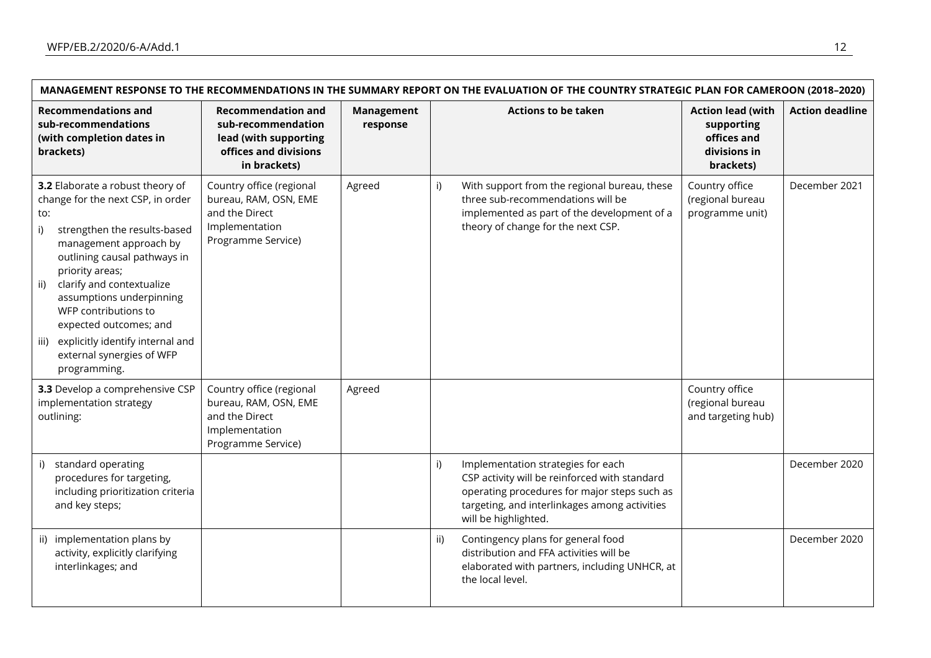| MANAGEMENT RESPONSE TO THE RECOMMENDATIONS IN THE SUMMARY REPORT ON THE EVALUATION OF THE COUNTRY STRATEGIC PLAN FOR CAMEROON (2018-2020)                                                                                                                                                                                                                                                                  |                                                                                                                   |                               |                                                                                                                                                                                                                    |                                                                                    |                        |  |  |
|------------------------------------------------------------------------------------------------------------------------------------------------------------------------------------------------------------------------------------------------------------------------------------------------------------------------------------------------------------------------------------------------------------|-------------------------------------------------------------------------------------------------------------------|-------------------------------|--------------------------------------------------------------------------------------------------------------------------------------------------------------------------------------------------------------------|------------------------------------------------------------------------------------|------------------------|--|--|
| <b>Recommendations and</b><br>sub-recommendations<br>(with completion dates in<br>brackets)                                                                                                                                                                                                                                                                                                                | <b>Recommendation and</b><br>sub-recommendation<br>lead (with supporting<br>offices and divisions<br>in brackets) | <b>Management</b><br>response | <b>Actions to be taken</b>                                                                                                                                                                                         | <b>Action lead (with</b><br>supporting<br>offices and<br>divisions in<br>brackets) | <b>Action deadline</b> |  |  |
| 3.2 Elaborate a robust theory of<br>change for the next CSP, in order<br>to:<br>strengthen the results-based<br>i)<br>management approach by<br>outlining causal pathways in<br>priority areas;<br>clarify and contextualize<br>ii)<br>assumptions underpinning<br>WFP contributions to<br>expected outcomes; and<br>explicitly identify internal and<br>iii)<br>external synergies of WFP<br>programming. | Country office (regional<br>bureau, RAM, OSN, EME<br>and the Direct<br>Implementation<br>Programme Service)       | Agreed                        | With support from the regional bureau, these<br>i)<br>three sub-recommendations will be<br>implemented as part of the development of a<br>theory of change for the next CSP.                                       | Country office<br>(regional bureau<br>programme unit)                              | December 2021          |  |  |
| 3.3 Develop a comprehensive CSP<br>implementation strategy<br>outlining:                                                                                                                                                                                                                                                                                                                                   | Country office (regional<br>bureau, RAM, OSN, EME<br>and the Direct<br>Implementation<br>Programme Service)       | Agreed                        |                                                                                                                                                                                                                    | Country office<br>(regional bureau<br>and targeting hub)                           |                        |  |  |
| i) standard operating<br>procedures for targeting,<br>including prioritization criteria<br>and key steps;                                                                                                                                                                                                                                                                                                  |                                                                                                                   |                               | i)<br>Implementation strategies for each<br>CSP activity will be reinforced with standard<br>operating procedures for major steps such as<br>targeting, and interlinkages among activities<br>will be highlighted. |                                                                                    | December 2020          |  |  |
| ii) implementation plans by<br>activity, explicitly clarifying<br>interlinkages; and                                                                                                                                                                                                                                                                                                                       |                                                                                                                   |                               | Contingency plans for general food<br>ii)<br>distribution and FFA activities will be<br>elaborated with partners, including UNHCR, at<br>the local level.                                                          |                                                                                    | December 2020          |  |  |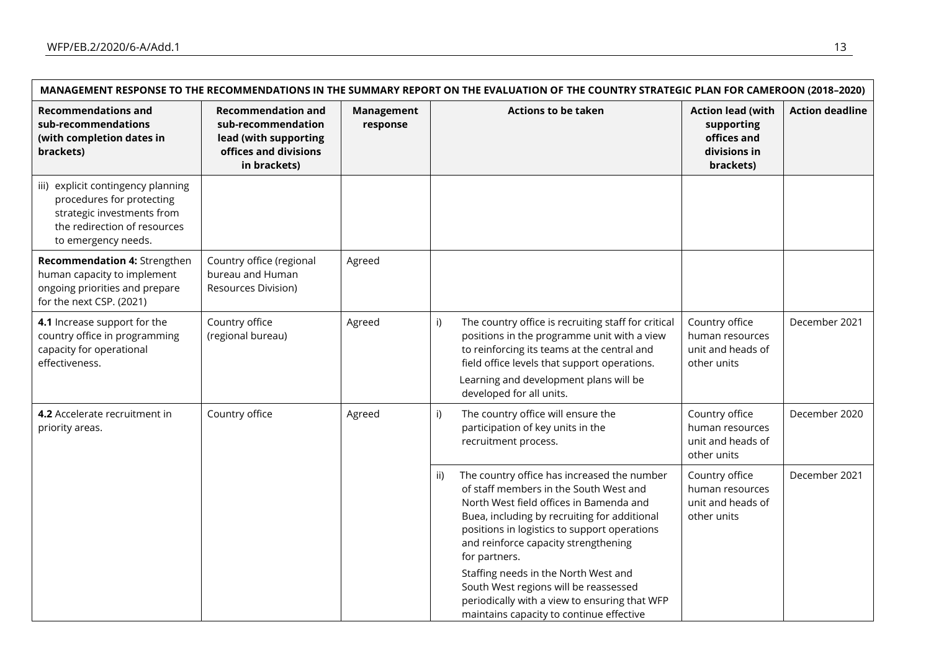| MANAGEMENT RESPONSE TO THE RECOMMENDATIONS IN THE SUMMARY REPORT ON THE EVALUATION OF THE COUNTRY STRATEGIC PLAN FOR CAMEROON (2018-2020)            |                                                                                                                   |                        |                                                                                                                                                                                                                                                                                                                                                                                                                                                                                |                                                                                    |                        |  |
|------------------------------------------------------------------------------------------------------------------------------------------------------|-------------------------------------------------------------------------------------------------------------------|------------------------|--------------------------------------------------------------------------------------------------------------------------------------------------------------------------------------------------------------------------------------------------------------------------------------------------------------------------------------------------------------------------------------------------------------------------------------------------------------------------------|------------------------------------------------------------------------------------|------------------------|--|
| <b>Recommendations and</b><br>sub-recommendations<br>(with completion dates in<br>brackets)                                                          | <b>Recommendation and</b><br>sub-recommendation<br>lead (with supporting<br>offices and divisions<br>in brackets) | Management<br>response | <b>Actions to be taken</b>                                                                                                                                                                                                                                                                                                                                                                                                                                                     | <b>Action lead (with</b><br>supporting<br>offices and<br>divisions in<br>brackets) | <b>Action deadline</b> |  |
| iii) explicit contingency planning<br>procedures for protecting<br>strategic investments from<br>the redirection of resources<br>to emergency needs. |                                                                                                                   |                        |                                                                                                                                                                                                                                                                                                                                                                                                                                                                                |                                                                                    |                        |  |
| Recommendation 4: Strengthen<br>human capacity to implement<br>ongoing priorities and prepare<br>for the next CSP. (2021)                            | Country office (regional<br>bureau and Human<br>Resources Division)                                               | Agreed                 |                                                                                                                                                                                                                                                                                                                                                                                                                                                                                |                                                                                    |                        |  |
| 4.1 Increase support for the<br>country office in programming<br>capacity for operational<br>effectiveness.                                          | Country office<br>(regional bureau)                                                                               | Agreed                 | i)<br>The country office is recruiting staff for critical<br>positions in the programme unit with a view<br>to reinforcing its teams at the central and<br>field office levels that support operations.<br>Learning and development plans will be<br>developed for all units.                                                                                                                                                                                                  | Country office<br>human resources<br>unit and heads of<br>other units              | December 2021          |  |
| Country office<br>4.2 Accelerate recruitment in<br>priority areas.                                                                                   |                                                                                                                   | Agreed                 | The country office will ensure the<br>i)<br>participation of key units in the<br>recruitment process.                                                                                                                                                                                                                                                                                                                                                                          | Country office<br>human resources<br>unit and heads of<br>other units              | December 2020          |  |
|                                                                                                                                                      |                                                                                                                   |                        | The country office has increased the number<br>ii)<br>of staff members in the South West and<br>North West field offices in Bamenda and<br>Buea, including by recruiting for additional<br>positions in logistics to support operations<br>and reinforce capacity strengthening<br>for partners.<br>Staffing needs in the North West and<br>South West regions will be reassessed<br>periodically with a view to ensuring that WFP<br>maintains capacity to continue effective | Country office<br>human resources<br>unit and heads of<br>other units              | December 2021          |  |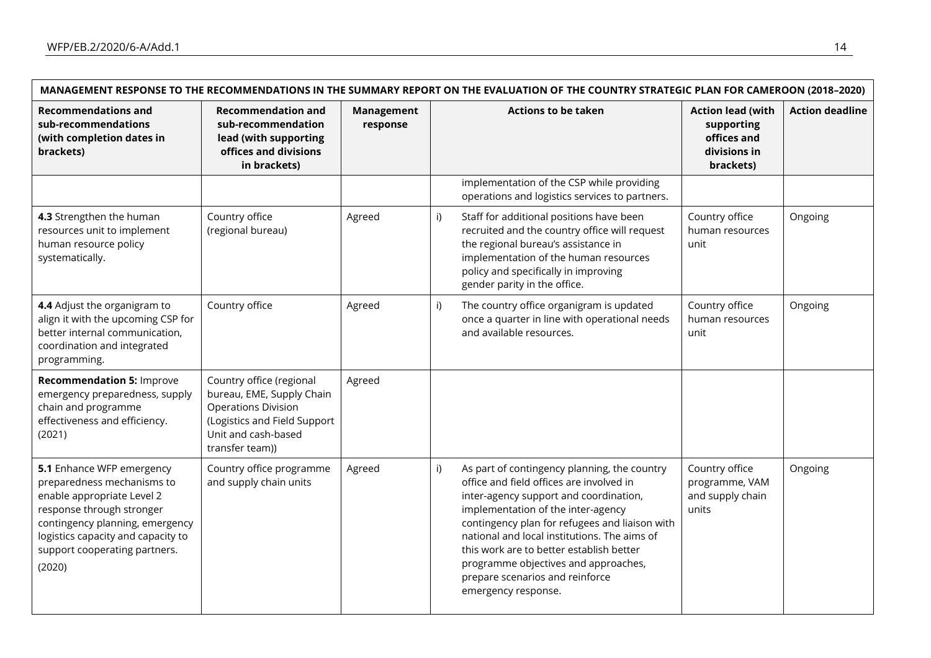|                                                                                                                                                                                                                                        | MANAGEMENT RESPONSE TO THE RECOMMENDATIONS IN THE SUMMARY REPORT ON THE EVALUATION OF THE COUNTRY STRATEGIC PLAN FOR CAMEROON (2018-2020)                     |                        |                                                                                                                                                                                                                                                                                                                                                                                                                                |                                                                                    |                        |
|----------------------------------------------------------------------------------------------------------------------------------------------------------------------------------------------------------------------------------------|---------------------------------------------------------------------------------------------------------------------------------------------------------------|------------------------|--------------------------------------------------------------------------------------------------------------------------------------------------------------------------------------------------------------------------------------------------------------------------------------------------------------------------------------------------------------------------------------------------------------------------------|------------------------------------------------------------------------------------|------------------------|
| <b>Recommendations and</b><br>sub-recommendations<br>(with completion dates in<br>brackets)                                                                                                                                            | <b>Recommendation and</b><br>sub-recommendation<br>lead (with supporting<br>offices and divisions<br>in brackets)                                             | Management<br>response | <b>Actions to be taken</b>                                                                                                                                                                                                                                                                                                                                                                                                     | <b>Action lead (with</b><br>supporting<br>offices and<br>divisions in<br>brackets) | <b>Action deadline</b> |
|                                                                                                                                                                                                                                        |                                                                                                                                                               |                        | implementation of the CSP while providing<br>operations and logistics services to partners.                                                                                                                                                                                                                                                                                                                                    |                                                                                    |                        |
| 4.3 Strengthen the human<br>resources unit to implement<br>human resource policy<br>systematically.                                                                                                                                    | Country office<br>(regional bureau)                                                                                                                           | Agreed                 | Staff for additional positions have been<br>i)<br>recruited and the country office will request<br>the regional bureau's assistance in<br>implementation of the human resources<br>policy and specifically in improving<br>gender parity in the office.                                                                                                                                                                        | Country office<br>human resources<br>unit                                          | Ongoing                |
| 4.4 Adjust the organigram to<br>align it with the upcoming CSP for<br>better internal communication,<br>coordination and integrated<br>programming.                                                                                    | Country office                                                                                                                                                | Agreed                 | The country office organigram is updated<br>i)<br>once a quarter in line with operational needs<br>and available resources.                                                                                                                                                                                                                                                                                                    | Country office<br>human resources<br>unit                                          | Ongoing                |
| <b>Recommendation 5: Improve</b><br>emergency preparedness, supply<br>chain and programme<br>effectiveness and efficiency.<br>(2021)                                                                                                   | Country office (regional<br>bureau, EME, Supply Chain<br><b>Operations Division</b><br>(Logistics and Field Support<br>Unit and cash-based<br>transfer team)) | Agreed                 |                                                                                                                                                                                                                                                                                                                                                                                                                                |                                                                                    |                        |
| 5.1 Enhance WFP emergency<br>preparedness mechanisms to<br>enable appropriate Level 2<br>response through stronger<br>contingency planning, emergency<br>logistics capacity and capacity to<br>support cooperating partners.<br>(2020) | Country office programme<br>and supply chain units                                                                                                            | Agreed                 | i)<br>As part of contingency planning, the country<br>office and field offices are involved in<br>inter-agency support and coordination,<br>implementation of the inter-agency<br>contingency plan for refugees and liaison with<br>national and local institutions. The aims of<br>this work are to better establish better<br>programme objectives and approaches,<br>prepare scenarios and reinforce<br>emergency response. | Country office<br>programme, VAM<br>and supply chain<br>units                      | Ongoing                |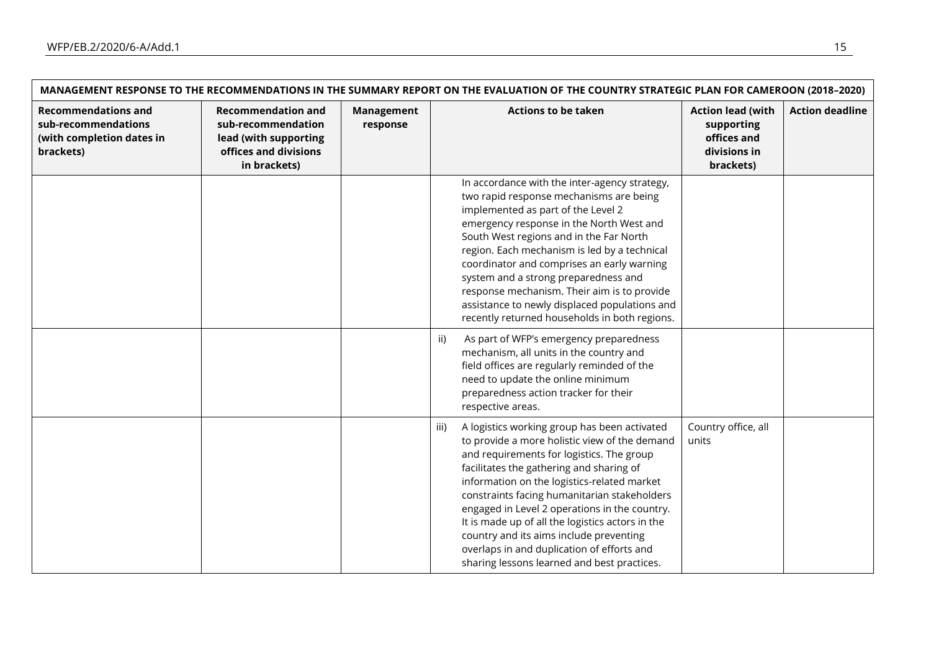| MANAGEMENT RESPONSE TO THE RECOMMENDATIONS IN THE SUMMARY REPORT ON THE EVALUATION OF THE COUNTRY STRATEGIC PLAN FOR CAMEROON (2018-2020) |                                                                                                                   |                        |                                                                                                                                                                                                                                                                                                                                                                                                                                                                                                                                            |                                                                                    |                        |
|-------------------------------------------------------------------------------------------------------------------------------------------|-------------------------------------------------------------------------------------------------------------------|------------------------|--------------------------------------------------------------------------------------------------------------------------------------------------------------------------------------------------------------------------------------------------------------------------------------------------------------------------------------------------------------------------------------------------------------------------------------------------------------------------------------------------------------------------------------------|------------------------------------------------------------------------------------|------------------------|
| <b>Recommendations and</b><br>sub-recommendations<br>(with completion dates in<br>brackets)                                               | <b>Recommendation and</b><br>sub-recommendation<br>lead (with supporting<br>offices and divisions<br>in brackets) | Management<br>response | <b>Actions to be taken</b>                                                                                                                                                                                                                                                                                                                                                                                                                                                                                                                 | <b>Action lead (with</b><br>supporting<br>offices and<br>divisions in<br>brackets) | <b>Action deadline</b> |
|                                                                                                                                           |                                                                                                                   |                        | In accordance with the inter-agency strategy,<br>two rapid response mechanisms are being<br>implemented as part of the Level 2<br>emergency response in the North West and<br>South West regions and in the Far North<br>region. Each mechanism is led by a technical<br>coordinator and comprises an early warning<br>system and a strong preparedness and<br>response mechanism. Their aim is to provide<br>assistance to newly displaced populations and<br>recently returned households in both regions.                               |                                                                                    |                        |
|                                                                                                                                           |                                                                                                                   |                        | ii)<br>As part of WFP's emergency preparedness<br>mechanism, all units in the country and<br>field offices are regularly reminded of the<br>need to update the online minimum<br>preparedness action tracker for their<br>respective areas.                                                                                                                                                                                                                                                                                                |                                                                                    |                        |
|                                                                                                                                           |                                                                                                                   |                        | A logistics working group has been activated<br>iii)<br>to provide a more holistic view of the demand<br>and requirements for logistics. The group<br>facilitates the gathering and sharing of<br>information on the logistics-related market<br>constraints facing humanitarian stakeholders<br>engaged in Level 2 operations in the country.<br>It is made up of all the logistics actors in the<br>country and its aims include preventing<br>overlaps in and duplication of efforts and<br>sharing lessons learned and best practices. | Country office, all<br>units                                                       |                        |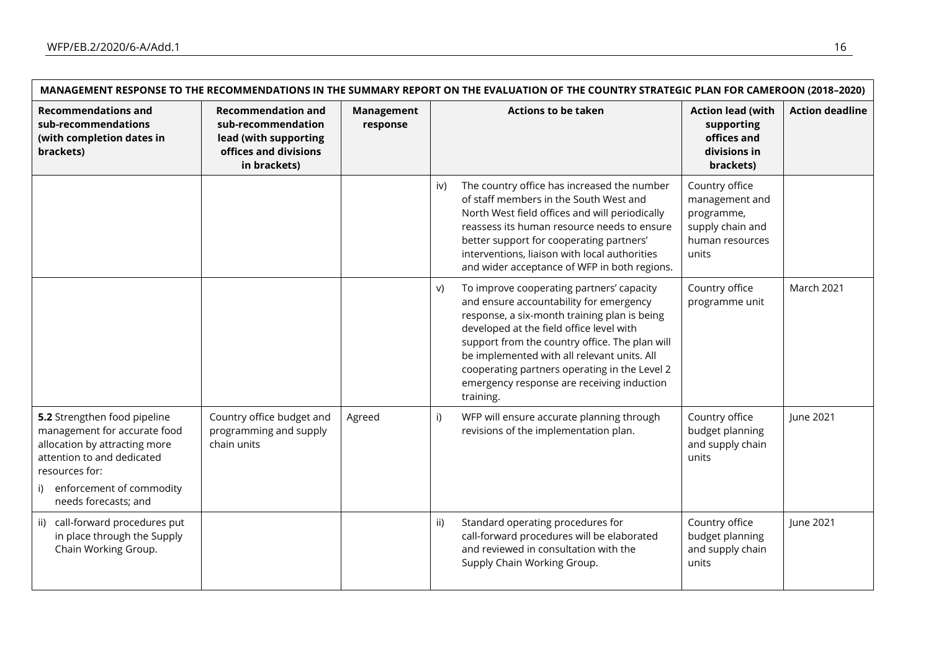**F** 

|                                                                                                                                                                                                      | MANAGEMENT RESPONSE TO THE RECOMMENDATIONS IN THE SUMMARY REPORT ON THE EVALUATION OF THE COUNTRY STRATEGIC PLAN FOR CAMEROON (2018-2020) |                               |                                                                                                                                                                                                                                                                                                                                                                                                                                              |                        |  |
|------------------------------------------------------------------------------------------------------------------------------------------------------------------------------------------------------|-------------------------------------------------------------------------------------------------------------------------------------------|-------------------------------|----------------------------------------------------------------------------------------------------------------------------------------------------------------------------------------------------------------------------------------------------------------------------------------------------------------------------------------------------------------------------------------------------------------------------------------------|------------------------|--|
| <b>Recommendations and</b><br>sub-recommendations<br>(with completion dates in<br>brackets)                                                                                                          | <b>Recommendation and</b><br>sub-recommendation<br>lead (with supporting<br>offices and divisions<br>in brackets)                         | <b>Management</b><br>response | <b>Actions to be taken</b><br><b>Action lead (with</b><br>supporting<br>offices and<br>divisions in<br>brackets)                                                                                                                                                                                                                                                                                                                             | <b>Action deadline</b> |  |
|                                                                                                                                                                                                      |                                                                                                                                           |                               | The country office has increased the number<br>Country office<br>iv)<br>of staff members in the South West and<br>management and<br>North West field offices and will periodically<br>programme,<br>reassess its human resource needs to ensure<br>supply chain and<br>better support for cooperating partners'<br>human resources<br>interventions, liaison with local authorities<br>units<br>and wider acceptance of WFP in both regions. |                        |  |
|                                                                                                                                                                                                      |                                                                                                                                           |                               | Country office<br>To improve cooperating partners' capacity<br>V)<br>and ensure accountability for emergency<br>programme unit<br>response, a six-month training plan is being<br>developed at the field office level with<br>support from the country office. The plan will<br>be implemented with all relevant units. All<br>cooperating partners operating in the Level 2<br>emergency response are receiving induction<br>training.      | March 2021             |  |
| 5.2 Strengthen food pipeline<br>management for accurate food<br>allocation by attracting more<br>attention to and dedicated<br>resources for:<br>i) enforcement of commodity<br>needs forecasts; and | Country office budget and<br>programming and supply<br>chain units                                                                        | Agreed                        | Country office<br>WFP will ensure accurate planning through<br>i)<br>budget planning<br>revisions of the implementation plan.<br>and supply chain<br>units                                                                                                                                                                                                                                                                                   | June 2021              |  |
| ii) call-forward procedures put<br>in place through the Supply<br>Chain Working Group.                                                                                                               |                                                                                                                                           |                               | Country office<br>ii)<br>Standard operating procedures for<br>call-forward procedures will be elaborated<br>budget planning<br>and reviewed in consultation with the<br>and supply chain<br>Supply Chain Working Group.<br>units                                                                                                                                                                                                             | June 2021              |  |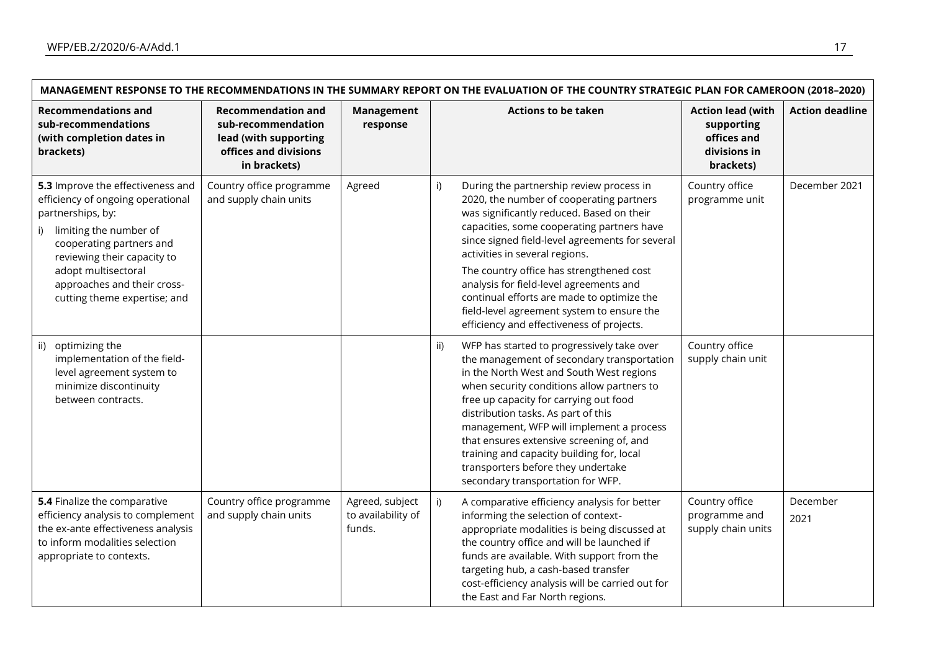|                                                                                                                                                                                                                                                                              | MANAGEMENT RESPONSE TO THE RECOMMENDATIONS IN THE SUMMARY REPORT ON THE EVALUATION OF THE COUNTRY STRATEGIC PLAN FOR CAMEROON (2018-2020) |                                                 |                                                                                                                                                                                                                                                                                                                                                                                                                                                                                                            |                                                                                    |                        |
|------------------------------------------------------------------------------------------------------------------------------------------------------------------------------------------------------------------------------------------------------------------------------|-------------------------------------------------------------------------------------------------------------------------------------------|-------------------------------------------------|------------------------------------------------------------------------------------------------------------------------------------------------------------------------------------------------------------------------------------------------------------------------------------------------------------------------------------------------------------------------------------------------------------------------------------------------------------------------------------------------------------|------------------------------------------------------------------------------------|------------------------|
| <b>Recommendations and</b><br>sub-recommendations<br>(with completion dates in<br>brackets)                                                                                                                                                                                  | <b>Recommendation and</b><br>sub-recommendation<br>lead (with supporting<br>offices and divisions<br>in brackets)                         | <b>Management</b><br>response                   | <b>Actions to be taken</b>                                                                                                                                                                                                                                                                                                                                                                                                                                                                                 | <b>Action lead (with</b><br>supporting<br>offices and<br>divisions in<br>brackets) | <b>Action deadline</b> |
| 5.3 Improve the effectiveness and<br>efficiency of ongoing operational<br>partnerships, by:<br>limiting the number of<br>i)<br>cooperating partners and<br>reviewing their capacity to<br>adopt multisectoral<br>approaches and their cross-<br>cutting theme expertise; and | Country office programme<br>and supply chain units                                                                                        | Agreed                                          | During the partnership review process in<br>i)<br>2020, the number of cooperating partners<br>was significantly reduced. Based on their<br>capacities, some cooperating partners have<br>since signed field-level agreements for several<br>activities in several regions.<br>The country office has strengthened cost<br>analysis for field-level agreements and<br>continual efforts are made to optimize the<br>field-level agreement system to ensure the<br>efficiency and effectiveness of projects. | Country office<br>programme unit                                                   | December 2021          |
| ii) optimizing the<br>implementation of the field-<br>level agreement system to<br>minimize discontinuity<br>between contracts.                                                                                                                                              |                                                                                                                                           |                                                 | WFP has started to progressively take over<br>ii)<br>the management of secondary transportation<br>in the North West and South West regions<br>when security conditions allow partners to<br>free up capacity for carrying out food<br>distribution tasks. As part of this<br>management, WFP will implement a process<br>that ensures extensive screening of, and<br>training and capacity building for, local<br>transporters before they undertake<br>secondary transportation for WFP.                 | Country office<br>supply chain unit                                                |                        |
| 5.4 Finalize the comparative<br>efficiency analysis to complement<br>the ex-ante effectiveness analysis<br>to inform modalities selection<br>appropriate to contexts.                                                                                                        | Country office programme<br>and supply chain units                                                                                        | Agreed, subject<br>to availability of<br>funds. | A comparative efficiency analysis for better<br>i)<br>informing the selection of context-<br>appropriate modalities is being discussed at<br>the country office and will be launched if<br>funds are available. With support from the<br>targeting hub, a cash-based transfer<br>cost-efficiency analysis will be carried out for<br>the East and Far North regions.                                                                                                                                       | Country office<br>programme and<br>supply chain units                              | December<br>2021       |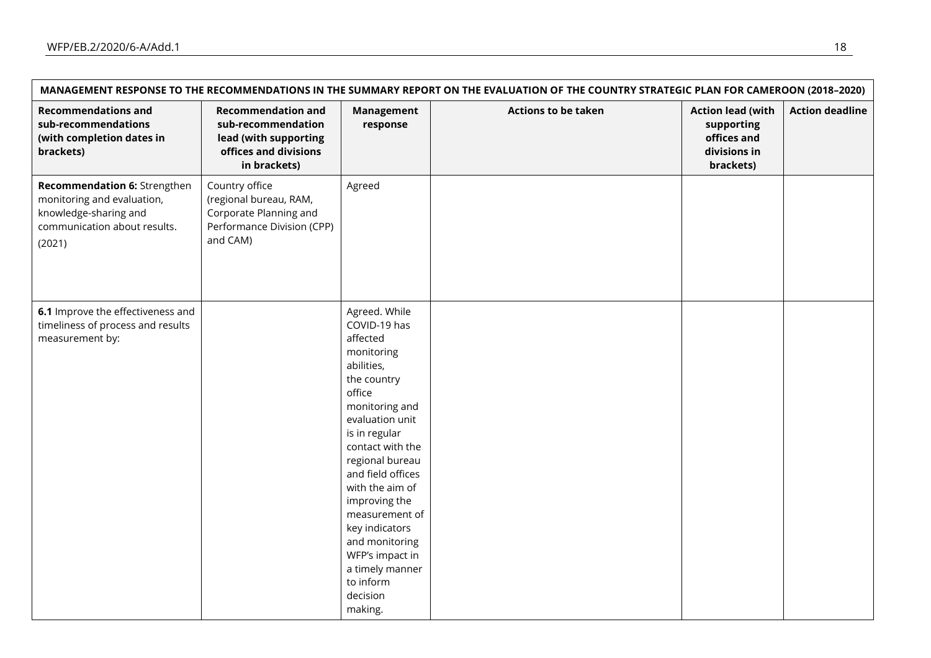| MANAGEMENT RESPONSE TO THE RECOMMENDATIONS IN THE SUMMARY REPORT ON THE EVALUATION OF THE COUNTRY STRATEGIC PLAN FOR CAMEROON (2018-2020) |                                                                                                                   |                                                                                                                                                                                                                                                                                                                                                                                      |                            |                                                                                    |                        |
|-------------------------------------------------------------------------------------------------------------------------------------------|-------------------------------------------------------------------------------------------------------------------|--------------------------------------------------------------------------------------------------------------------------------------------------------------------------------------------------------------------------------------------------------------------------------------------------------------------------------------------------------------------------------------|----------------------------|------------------------------------------------------------------------------------|------------------------|
| <b>Recommendations and</b><br>sub-recommendations<br>(with completion dates in<br>brackets)                                               | <b>Recommendation and</b><br>sub-recommendation<br>lead (with supporting<br>offices and divisions<br>in brackets) | <b>Management</b><br>response                                                                                                                                                                                                                                                                                                                                                        | <b>Actions to be taken</b> | <b>Action lead (with</b><br>supporting<br>offices and<br>divisions in<br>brackets) | <b>Action deadline</b> |
| Recommendation 6: Strengthen<br>monitoring and evaluation,<br>knowledge-sharing and<br>communication about results.<br>(2021)             | Country office<br>(regional bureau, RAM,<br>Corporate Planning and<br>Performance Division (CPP)<br>and CAM)      | Agreed                                                                                                                                                                                                                                                                                                                                                                               |                            |                                                                                    |                        |
| 6.1 Improve the effectiveness and<br>timeliness of process and results<br>measurement by:                                                 |                                                                                                                   | Agreed. While<br>COVID-19 has<br>affected<br>monitoring<br>abilities,<br>the country<br>office<br>monitoring and<br>evaluation unit<br>is in regular<br>contact with the<br>regional bureau<br>and field offices<br>with the aim of<br>improving the<br>measurement of<br>key indicators<br>and monitoring<br>WFP's impact in<br>a timely manner<br>to inform<br>decision<br>making. |                            |                                                                                    |                        |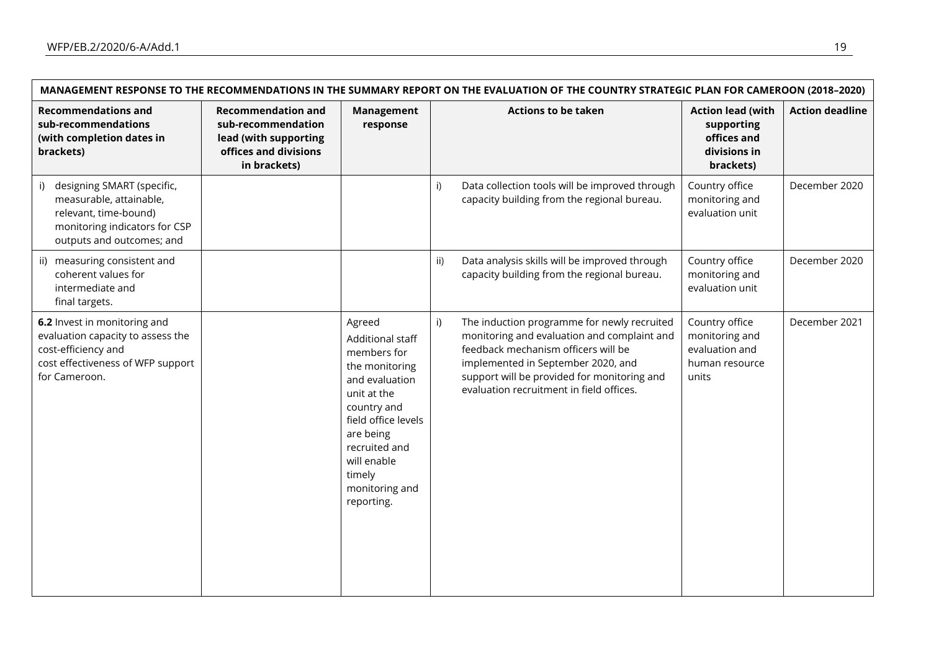| MANAGEMENT RESPONSE TO THE RECOMMENDATIONS IN THE SUMMARY REPORT ON THE EVALUATION OF THE COUNTRY STRATEGIC PLAN FOR CAMEROON (2018-2020)          |                                                                                                                   |                                                                                                                                                                                                                           |               |                                                                                                                                                                                                                                                                    |                                                                                    |                        |
|----------------------------------------------------------------------------------------------------------------------------------------------------|-------------------------------------------------------------------------------------------------------------------|---------------------------------------------------------------------------------------------------------------------------------------------------------------------------------------------------------------------------|---------------|--------------------------------------------------------------------------------------------------------------------------------------------------------------------------------------------------------------------------------------------------------------------|------------------------------------------------------------------------------------|------------------------|
| <b>Recommendations and</b><br>sub-recommendations<br>(with completion dates in<br>brackets)                                                        | <b>Recommendation and</b><br>sub-recommendation<br>lead (with supporting<br>offices and divisions<br>in brackets) | Management<br>response                                                                                                                                                                                                    |               | <b>Actions to be taken</b>                                                                                                                                                                                                                                         | <b>Action lead (with</b><br>supporting<br>offices and<br>divisions in<br>brackets) | <b>Action deadline</b> |
| designing SMART (specific,<br>i)<br>measurable, attainable,<br>relevant, time-bound)<br>monitoring indicators for CSP<br>outputs and outcomes; and |                                                                                                                   |                                                                                                                                                                                                                           | i)            | Data collection tools will be improved through<br>capacity building from the regional bureau.                                                                                                                                                                      | Country office<br>monitoring and<br>evaluation unit                                | December 2020          |
| ii) measuring consistent and<br>coherent values for<br>intermediate and<br>final targets.                                                          |                                                                                                                   |                                                                                                                                                                                                                           | $\mathsf{ii}$ | Data analysis skills will be improved through<br>capacity building from the regional bureau.                                                                                                                                                                       | Country office<br>monitoring and<br>evaluation unit                                | December 2020          |
| 6.2 Invest in monitoring and<br>evaluation capacity to assess the<br>cost-efficiency and<br>cost effectiveness of WFP support<br>for Cameroon.     |                                                                                                                   | Agreed<br>Additional staff<br>members for<br>the monitoring<br>and evaluation<br>unit at the<br>country and<br>field office levels<br>are being<br>recruited and<br>will enable<br>timely<br>monitoring and<br>reporting. | i)            | The induction programme for newly recruited<br>monitoring and evaluation and complaint and<br>feedback mechanism officers will be<br>implemented in September 2020, and<br>support will be provided for monitoring and<br>evaluation recruitment in field offices. | Country office<br>monitoring and<br>evaluation and<br>human resource<br>units      | December 2021          |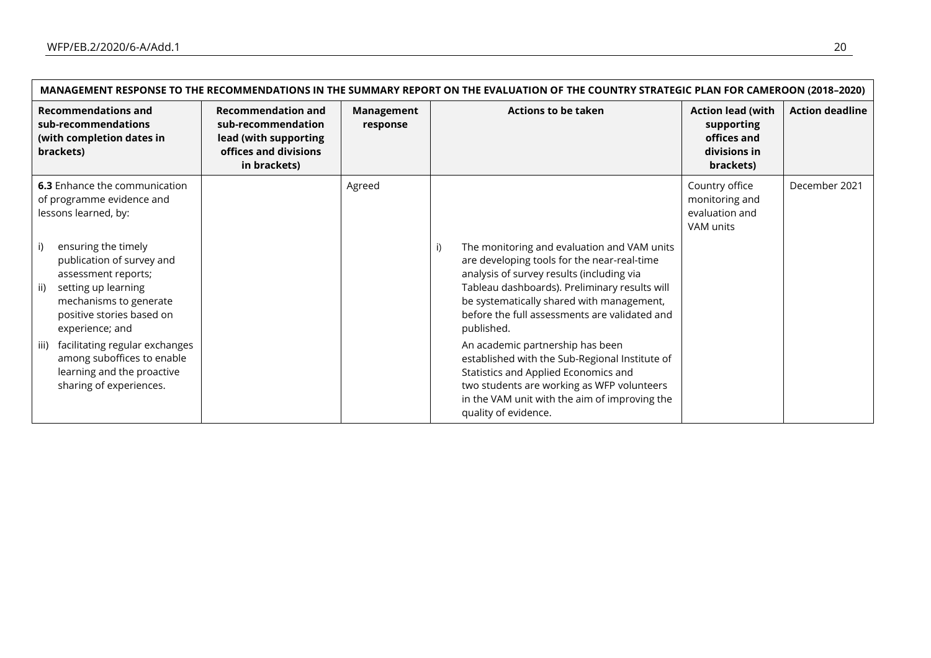| MANAGEMENT RESPONSE TO THE RECOMMENDATIONS IN THE SUMMARY REPORT ON THE EVALUATION OF THE COUNTRY STRATEGIC PLAN FOR CAMEROON (2018-2020)                                                                                                                                                                                                                                                                     |                                                                                                                   |                        |                                                                                                                                                                                                                                                                                                                                                                                                                                                                                                                                                                 |                                                                                    |                        |
|---------------------------------------------------------------------------------------------------------------------------------------------------------------------------------------------------------------------------------------------------------------------------------------------------------------------------------------------------------------------------------------------------------------|-------------------------------------------------------------------------------------------------------------------|------------------------|-----------------------------------------------------------------------------------------------------------------------------------------------------------------------------------------------------------------------------------------------------------------------------------------------------------------------------------------------------------------------------------------------------------------------------------------------------------------------------------------------------------------------------------------------------------------|------------------------------------------------------------------------------------|------------------------|
| <b>Recommendations and</b><br>sub-recommendations<br>(with completion dates in<br>brackets)                                                                                                                                                                                                                                                                                                                   | <b>Recommendation and</b><br>sub-recommendation<br>lead (with supporting<br>offices and divisions<br>in brackets) | Management<br>response | <b>Actions to be taken</b>                                                                                                                                                                                                                                                                                                                                                                                                                                                                                                                                      | <b>Action lead (with</b><br>supporting<br>offices and<br>divisions in<br>brackets) | <b>Action deadline</b> |
| <b>6.3</b> Enhance the communication<br>of programme evidence and<br>lessons learned, by:<br>ensuring the timely<br>publication of survey and<br>assessment reports;<br>setting up learning<br>ii)<br>mechanisms to generate<br>positive stories based on<br>experience; and<br>facilitating regular exchanges<br>iii)<br>among suboffices to enable<br>learning and the proactive<br>sharing of experiences. |                                                                                                                   | Agreed                 | The monitoring and evaluation and VAM units<br>i)<br>are developing tools for the near-real-time<br>analysis of survey results (including via<br>Tableau dashboards). Preliminary results will<br>be systematically shared with management,<br>before the full assessments are validated and<br>published.<br>An academic partnership has been<br>established with the Sub-Regional Institute of<br>Statistics and Applied Economics and<br>two students are working as WFP volunteers<br>in the VAM unit with the aim of improving the<br>quality of evidence. | Country office<br>monitoring and<br>evaluation and<br>VAM units                    | December 2021          |